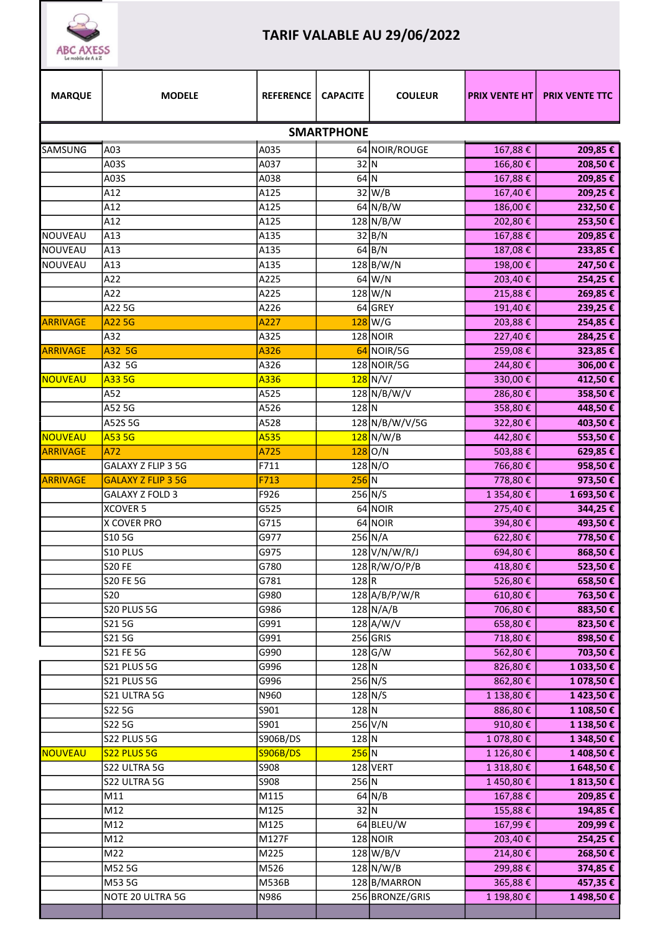

## TARIF VALABLE AU 29/06/2022

| <b>MARQUE</b>     | <b>MODELE</b>             | <b>REFERENCE</b>  | <b>CAPACITE</b> | <b>COULEUR</b>    | <b>PRIX VENTE HT</b>  | <b>PRIX VENTE TTC</b>   |  |  |
|-------------------|---------------------------|-------------------|-----------------|-------------------|-----------------------|-------------------------|--|--|
| <b>SMARTPHONE</b> |                           |                   |                 |                   |                       |                         |  |  |
| SAMSUNG           | A03                       | A035              |                 | 64 NOIR/ROUGE     | 167,88€               | 209,85€                 |  |  |
|                   | A03S                      | A037              | 32 N            |                   | 166,80€               | 208,50€                 |  |  |
|                   | A03S                      | A038              | $64$ N          |                   | 167,88€               | 209,85€                 |  |  |
|                   | A12                       | A125              |                 | $32$ W/B          | 167,40€               | 209,25€                 |  |  |
|                   | A12                       | A125              |                 | 64 N/B/W          | 186,00€               | 232,50€                 |  |  |
|                   | A12                       | A125              |                 | $128$ N/B/W       | 202,80€               | 253,50€                 |  |  |
| NOUVEAU           | A13                       | A135              |                 | 32 B/N            | 167,88€               | 209,85€                 |  |  |
| <b>NOUVEAU</b>    | A13                       | A135              |                 | $64$ B/N          | 187,08€               | 233,85€                 |  |  |
| NOUVEAU           | A13                       | A135              |                 | $128$ B/W/N       | 198,00€               | 247,50€                 |  |  |
|                   | A22                       | A225              |                 | 64 W/N            | 203,40€               | 254,25€                 |  |  |
|                   | A22                       | A225              |                 | 128 W/N           | 215,88€               | 269,85€                 |  |  |
|                   | A22 5G                    | A226              |                 | 64 GREY           | 191,40€               | 239,25€                 |  |  |
| <b>ARRIVAGE</b>   | A22 5G                    | A227              |                 | $128$ W/G         | 203,88€               | 254,85€                 |  |  |
|                   | A32                       | A325              |                 | $128$ NOIR        | 227,40€               | 284,25€                 |  |  |
| <b>ARRIVAGE</b>   | A32 5G                    | A326              |                 | 64 NOIR/5G        | 259,08€               | 323,85€                 |  |  |
|                   | A32 5G                    | $\overline{A3}26$ |                 | 128 NOIR/5G       | 244,80€               | 306,00€                 |  |  |
| NOUVEAU           | A33 5G                    | A336              |                 | $128$ N/V/        | 330,00€               | 412,50€                 |  |  |
|                   | A52                       | A525              |                 | $128\big N/B/W/V$ | 286,80€               | 358,50€                 |  |  |
|                   | A52 5G                    | A526              | $128$ N         |                   | 358,80€               | 448,50€                 |  |  |
|                   | A52S 5G                   | A528              |                 | 128 N/B/W/V/5G    | 322,80€               | 403,50€                 |  |  |
| NOUVEAU           | A53 5G                    | A535              |                 | $128$ N/W/B       | 442,80€               | 553,50€                 |  |  |
| ARRIVAGE          | A72                       | A725              |                 | $128$ O/N         | 503,88€               | 629,85€                 |  |  |
|                   | GALAXY Z FLIP 3 5G        | F711              |                 | 128 N/O           | 766,80€               | 958,50€                 |  |  |
| <b>ARRIVAGE</b>   | <b>GALAXY Z FLIP 3 5G</b> | F713              | $256$ N         |                   | 778,80€               | 973,50€                 |  |  |
|                   | <b>GALAXY Z FOLD 3</b>    | F926              |                 | $256$ N/S         | 1 354,80€             | 1 693,50€               |  |  |
|                   | <b>XCOVER 5</b>           | G525              |                 | 64 NOIR           | 275,40€               | 344,25 €                |  |  |
|                   | <b>X COVER PRO</b>        | G715              |                 | 64 NOIR           | 394,80€               | 493,50€                 |  |  |
|                   | S10 5G                    | G977              |                 | $256$ N/A         | 622,80€               | 778,50€                 |  |  |
|                   | S10 PLUS                  | G975              |                 | 128 V/N/W/R/J     | 694,80€               | 868,50€                 |  |  |
|                   | <b>S20 FE</b>             | G780              |                 | 128 R/W/O/P/B     | 418,80€               | 523,50€                 |  |  |
|                   | <b>S20 FE 5G</b>          | G781              | 128 R           |                   | 526,80€               | 658,50€                 |  |  |
|                   | S20                       | G980              |                 | $128$ A/B/P/W/R   | 610,80€               | 763,50€                 |  |  |
|                   | S20 PLUS 5G               | G986              |                 | $128$ N/A/B       | 706,80€               | 883,50€                 |  |  |
|                   | S215G                     | G991              |                 | $128$ A/W/V       | 658,80€               | 823,50€                 |  |  |
|                   | S215G                     | G991              |                 | 256 GRIS          | 718,80€               | 898,50€                 |  |  |
|                   | S21 FE 5G                 | G990              |                 | $128$ G/W         | 562,80€               | 703,50€                 |  |  |
|                   | S21 PLUS 5G               | G996              | $128$ N         |                   | 826,80€               | 1 033,50€               |  |  |
|                   | S21 PLUS 5G               | G996              |                 | $256$ N/S         | 862,80€               | 1 078,50 €              |  |  |
|                   | S21 ULTRA 5G              | N960              |                 | $128$ N/S         |                       |                         |  |  |
|                   | S22 5G                    | S901              | $128$ N         |                   | 1 138,80 €<br>886,80€ | 1 423,50 €<br>1 108,50€ |  |  |
|                   |                           |                   |                 | $256$ V/N         |                       |                         |  |  |
|                   | S22 5G                    | S901              | $128$ N         |                   | 910,80€               | 1 138,50€               |  |  |
|                   | S22 PLUS 5G               | S906B/DS          | $256$ N         |                   | 1 078,80€             | 1 348,50 €              |  |  |
| NOUVEAU           | S22 PLUS 5G               | <b>S906B/DS</b>   |                 |                   | 1 126,80 €            | 1 408,50 €              |  |  |
|                   | S22 ULTRA 5G              | S908              | $256$ N         | 128 VERT          | 1 318,80€             | 1 648,50 €              |  |  |
|                   | S22 ULTRA 5G              | S908              |                 |                   | 1450,80€              | 1813,50€                |  |  |
|                   | M11                       | M115<br>M125      |                 | $64$ N/B<br>32 N  | 167,88€               | 209,85€                 |  |  |
|                   | M12                       |                   |                 |                   | 155,88€               | 194,85€                 |  |  |
|                   | M12                       | M125              |                 | 64 BLEU/W         | 167,99€               | 209,99€                 |  |  |
|                   | M12                       | M127F             |                 | $128$ NOIR        | 203,40€               | 254,25€                 |  |  |
|                   | M22                       | M225              |                 | $128\text{W/B/V}$ | 214,80€               | 268,50€                 |  |  |
|                   | M52 5G                    | M526              |                 | $128\text{N/W/B}$ | 299,88€               | 374,85 €                |  |  |
|                   | M53 5G                    | M536B             |                 | 128 B/MARRON      | 365,88€               | 457,35€                 |  |  |
|                   | NOTE 20 ULTRA 5G          | N986              |                 | 256 BRONZE/GRIS   | 1 198,80 €            | 1 498,50 €              |  |  |
|                   |                           |                   |                 |                   |                       |                         |  |  |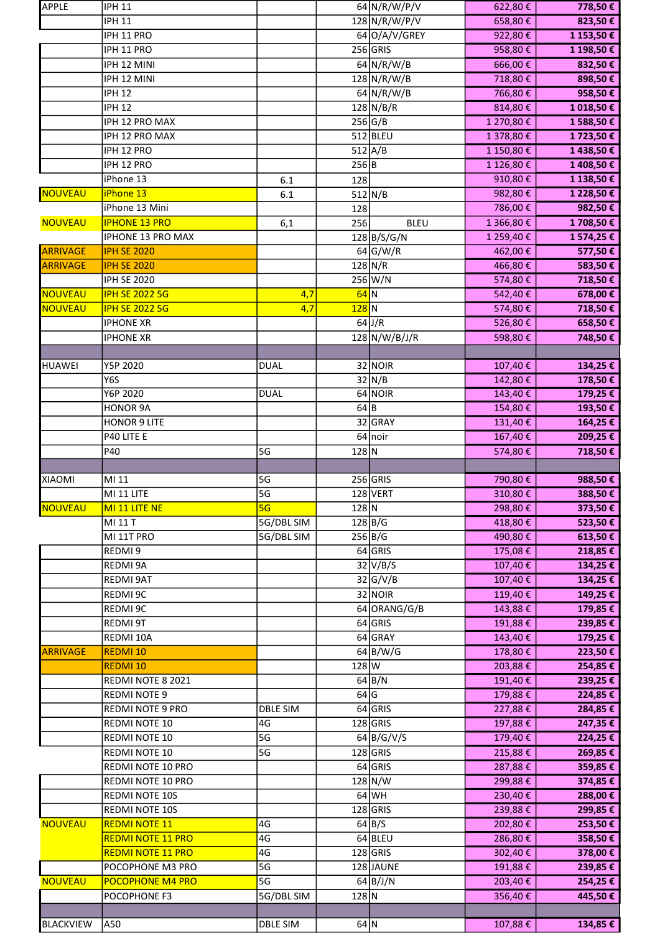| <b>APPLE</b>    | <b>IPH 11</b>                            |                 |         | 64 N/R/W/P/V            | 622,80€            | 778,50€             |
|-----------------|------------------------------------------|-----------------|---------|-------------------------|--------------------|---------------------|
|                 | <b>IPH 11</b>                            |                 |         | 128 N/R/W/P/V           | 658,80€            | 823,50 €            |
|                 | IPH 11 PRO                               |                 |         | 64 O/A/V/GREY           | 922,80€            | 1 153,50 €          |
|                 | IPH 11 PRO                               |                 |         | $256$ GRIS              | 958,80€            | 1 198,50€           |
|                 | IPH 12 MINI                              |                 |         | $64$ N/R/W/B            | 666,00€            | 832,50€             |
|                 | IPH 12 MINI                              |                 |         | $128\big N/R/W/B$       | 718,80€            | 898,50€             |
|                 | <b>IPH 12</b>                            |                 |         | $64$ N/R/W/B            | 766,80€            | 958,50€             |
|                 | <b>IPH 12</b>                            |                 |         | $128$ N/B/R             | 814,80€            | 1 018,50 €          |
|                 | IPH 12 PRO MAX                           |                 |         | 256 G/B                 | 1 270,80€          | 1 588,50 €          |
|                 | IPH 12 PRO MAX                           |                 |         | $512$ BLEU              | 1 378,80€          | 1723,50€            |
|                 | IPH 12 PRO                               |                 |         | $512$ A/B               | 1 150,80€          | 1438,50€            |
|                 | IPH 12 PRO                               |                 | 256 B   |                         | 1 126,80€          | 1 408,50€           |
|                 | iPhone 13                                | 6.1             | 128     |                         | 910,80€            | 1 138,50 €          |
| NOUVEAU         | iPhone 13                                | 6.1             |         | $512$ N/B               | 982,80€            | 1 228,50 €          |
|                 | iPhone 13 Mini                           |                 | 128     |                         | 786,00€            | 982,50 €            |
| <b>NOUVEAU</b>  | <b>IPHONE 13 PRO</b>                     | 6,1             | 256     | <b>BLEU</b>             | 1 366,80€          | 1 708,50 €          |
|                 | <b>IPHONE 13 PRO MAX</b>                 |                 |         | $128\overline{B/S/G/N}$ | 1 259,40€          | 1 574,25 €          |
| ARRIVAGE        | <b>IPH SE 2020</b>                       |                 |         | $64$ G/W/R              | 462,00€            | 577,50€             |
| <b>ARRIVAGE</b> | <b>IPH SE 2020</b>                       |                 |         | $128$ N/R               | 466,80€            | 583,50€             |
|                 | <b>IPH SE 2020</b>                       |                 |         | $256$ W/N               | 574,80€            | 718,50€             |
| NOUVEAU         | <b>IPH SE 2022 5G</b>                    | 4,7             | $64$ N  |                         | 542,40€            | 678,00 €            |
| NOUVEAU         | <b>IPH SE 2022 5G</b>                    | 4,7             | $128$ N |                         | 574,80€            | 718,50 €            |
|                 | <b>IPHONE XR</b>                         |                 |         | $64$ J/R                | 526,80€            | 658,50€             |
|                 | <b>IPHONE XR</b>                         |                 |         | $128$ N/W/B/J/R         | 598,80€            | 748,50€             |
|                 |                                          |                 |         |                         |                    |                     |
| <b>HUAWEI</b>   | Y5P 2020                                 | <b>DUAL</b>     |         | 32 NOIR                 | 107,40€            | 134,25€             |
|                 | Y6S<br>Y6P 2020                          | <b>DUAL</b>     |         | $32$ N/B<br>64 NOIR     | 142,80€<br>143,40€ | 178,50€<br>179,25€  |
|                 | <b>HONOR 9A</b>                          |                 | $64$ B  |                         | 154,80€            | 193,50€             |
|                 | <b>HONOR 9 LITE</b>                      |                 |         | 32 GRAY                 | 131,40€            | 164,25€             |
|                 | P40 LITE E                               |                 |         | 64 noir                 | $167,40 \in$       | 209,25€             |
|                 | P40                                      | 5G              | $128$ N |                         | 574,80€            | 718,50€             |
|                 |                                          |                 |         |                         |                    |                     |
|                 |                                          |                 |         |                         |                    |                     |
|                 |                                          |                 |         |                         |                    |                     |
| <b>XIAOMI</b>   | MI 11                                    | 5G              |         | $256$ GRIS              | 790,80€            | 988,50 €            |
|                 | MI 11 LITE                               | 5G              |         | 128 VERT                | $310,80 \in$       | 388,50€             |
| NOUVEAU         | MI 11 LITE NE                            | 5G              | $128$ N |                         | 298,80€            | 373,50€             |
|                 | MI 11 T                                  | 5G/DBL SIM      |         | $128$ B/G               | 418,80€            | 523,50€             |
|                 | MI 11T PRO                               | 5G/DBL SIM      |         | $256\overline{B/G}$     | 490,80€            | 613,50€             |
|                 | REDMI9                                   |                 |         | 64 GRIS                 | 175,08€            | 218,85€             |
|                 | REDMI 9A                                 |                 |         | $32\vert V/B/S$         | 107,40€            | 134,25€             |
|                 | REDMI 9AT                                |                 |         | 32 G/V/B                | 107,40€            | 134,25€             |
|                 | REDMI 9C                                 |                 |         | 32 NOIR                 | 119,40€            | 149,25€             |
|                 | REDMI 9C                                 |                 |         | 64 ORANG/G/B            | 143,88€            | 179,85€             |
|                 | REDMI 9T<br>REDMI 10A                    |                 |         | 64 GRIS<br>64 GRAY      | 191,88€<br>143,40€ | 239,85€             |
| ARRIVAGE        | REDMI <sub>10</sub>                      |                 |         | 64 B/W/G                | 178,80€            | 179,25€<br>223,50€  |
|                 |                                          |                 |         |                         |                    |                     |
|                 | REDMI <sub>10</sub><br>REDMI NOTE 8 2021 |                 | $128$ W | $64$ B/N                | 203,88€<br>191,40€ | 254,85 €<br>239,25€ |
|                 | <b>REDMI NOTE 9</b>                      |                 | 64 G    |                         | 179,88€            | 224,85€             |
|                 | REDMI NOTE 9 PRO                         | <b>DBLE SIM</b> |         | 64 GRIS                 | 227,88€            | 284,85€             |
|                 | REDMI NOTE 10                            | 4G              |         | $128$ GRIS              | 197,88€            | 247,35 €            |
|                 | REDMI NOTE 10                            | 5 <sub>G</sub>  |         | $64$ B/G/V/S            | 179,40€            | 224,25€             |
|                 | REDMI NOTE 10                            | 5G              |         | $128$ GRIS              | 215,88€            | 269,85€             |
|                 | REDMI NOTE 10 PRO                        |                 |         | 64 GRIS                 | 287,88€            | 359,85€             |
|                 | REDMI NOTE 10 PRO                        |                 |         | $128$ N/W               | 299,88€            | 374,85€             |
|                 | REDMI NOTE 10S                           |                 |         | $64$ WH                 | 230,40€            | 288,00€             |
|                 | REDMI NOTE 10S                           |                 |         | $128$ GRIS              | 239,88€            | 299,85€             |
| <b>NOUVEAU</b>  | <b>REDMI NOTE 11</b>                     | 4G              |         | 64 B/S                  | 202,80€            | 253,50€             |
|                 | <b>REDMI NOTE 11 PRO</b>                 | 4G              |         | 64 BLEU                 | 286,80€            | 358,50€             |
|                 | <b>REDMI NOTE 11 PRO</b>                 | 4G              |         | $128$ GRIS              | 302,40€            | 378,00 €            |
|                 | POCOPHONE M3 PRO                         | 5G              |         | 128 JAUNE               | 191,88€            | 239,85€             |
| <b>NOUVEAU</b>  | <b>POCOPHONE M4 PRO</b>                  | 5G              |         | $64$ B/J/N              | 203,40€            | 254,25€             |
|                 | POCOPHONE F3                             | 5G/DBL SIM      | $128$ N |                         | 356,40€            | 445,50€             |
|                 |                                          |                 | $64$ N  |                         |                    | 134,85€             |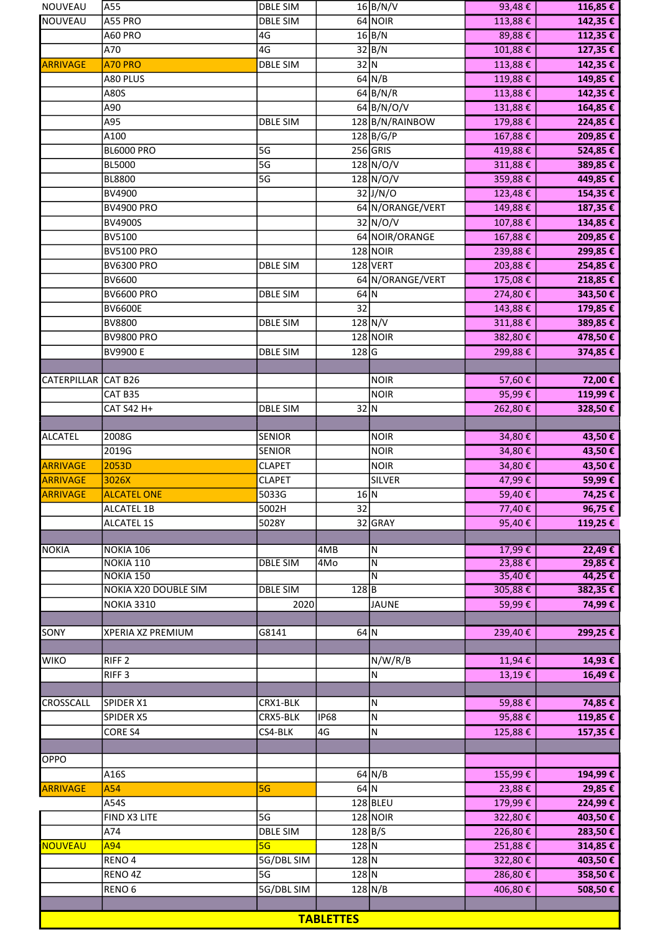| NOUVEAU             | A55                         | <b>DBLE SIM</b> |                 | $16$ B/N/V                   | 93,48€           | 116,85 € |  |
|---------------------|-----------------------------|-----------------|-----------------|------------------------------|------------------|----------|--|
| <b>NOUVEAU</b>      | A55 PRO                     | <b>DBLE SIM</b> |                 | 64 NOIR                      | 113,88€          | 142,35 € |  |
|                     | A60 PRO                     | 4G              |                 | 16 B/N                       | 89,88€           | 112,35€  |  |
|                     | A70                         | 4G              |                 | $32\overline{B/N}$           | 101,88€          | 127,35 € |  |
| <b>ARRIVAGE</b>     | A70 PRO                     | <b>DBLE SIM</b> | $32$ N          |                              | 113,88€          | 142,35€  |  |
|                     | A80 PLUS                    |                 |                 | $64$ N/B                     | 119,88€          | 149,85€  |  |
|                     | A80S                        |                 |                 | 64 B/N/R                     | 113,88€          | 142,35 € |  |
|                     | A90                         |                 |                 | $64$ B/N/O/V                 | 131,88€          | 164,85 € |  |
|                     | A95                         | <b>DBLE SIM</b> |                 | 128 B/N/RAINBOW              | 179,88€          | 224,85 € |  |
|                     | A100                        |                 |                 | $128$ B/G/P                  | 167,88€          | 209,85€  |  |
|                     | <b>BL6000 PRO</b>           | 5G              |                 | $256$ GRIS                   | 419,88€          | 524,85€  |  |
|                     | <b>BL5000</b>               | 5G              |                 | $128\overline{\text{N/O/V}}$ | 311,88€          | 389,85€  |  |
|                     | <b>BL8800</b>               | 5G              |                 | 128 N/O/V                    | 359,88€          | 449,85€  |  |
|                     | BV4900                      |                 |                 | $32$ J/N/O                   | 123,48€          | 154,35 € |  |
|                     | <b>BV4900 PRO</b>           |                 |                 | 64 N/ORANGE/VERT             | 149,88€          | 187,35 € |  |
|                     | <b>BV4900S</b>              |                 |                 | 32 N/O/V                     | 107,88€          | 134,85 € |  |
|                     | <b>BV5100</b>               |                 |                 | 64 NOIR/ORANGE               | 167,88€          | 209,85 € |  |
|                     | <b>BV5100 PRO</b>           |                 |                 | <b>128 NOIR</b>              | 239,88€          | 299,85€  |  |
|                     | <b>BV6300 PRO</b>           | <b>DBLE SIM</b> |                 | 128 VERT                     | 203,88€          | 254,85€  |  |
|                     | <b>BV6600</b>               |                 |                 | 64 N/ORANGE/VERT             | 175,08€          | 218,85€  |  |
|                     | <b>BV6600 PRO</b>           | <b>DBLE SIM</b> | $64$ N          |                              | 274,80€          | 343,50€  |  |
|                     | <b>BV6600E</b>              |                 | 32              |                              | 143,88€          | 179,85 € |  |
|                     | <b>BV8800</b>               | <b>DBLE SIM</b> |                 | 128 N/V                      | 311,88€          | 389,85€  |  |
|                     | <b>BV9800 PRO</b>           |                 |                 | $128$ NOIR                   | 382,80€          | 478,50€  |  |
|                     | <b>BV9900 E</b>             | <b>DBLE SIM</b> | $128$ G         |                              | 299,88€          | 374,85€  |  |
|                     |                             |                 |                 |                              |                  |          |  |
| CATERPILLAR CAT B26 | CAT B35                     |                 |                 | <b>NOIR</b><br><b>NOIR</b>   | 57,60€<br>95,99€ | 72,00 €  |  |
|                     |                             |                 | 32 N            |                              |                  | 119,99€  |  |
|                     | CAT S42 H+                  | <b>DBLE SIM</b> |                 |                              | 262,80€          | 328,50€  |  |
| <b>ALCATEL</b>      | 2008G                       | <b>SENIOR</b>   |                 | <b>NOIR</b>                  | 34,80€           | 43,50€   |  |
|                     | 2019G                       | <b>SENIOR</b>   |                 | <b>NOIR</b>                  | 34,80€           | 43,50€   |  |
| <b>ARRIVAGE</b>     | 2053D                       | <b>CLAPET</b>   |                 | <b>NOIR</b>                  | 34,80€           | 43,50€   |  |
| <b>ARRIVAGE</b>     | 3026X                       | <b>CLAPET</b>   |                 | <b>SILVER</b>                | 47,99€           | 59,99€   |  |
| <b>ARRIVAGE</b>     | <b>ALCATEL ONE</b>          | 5033G           | 16 N            |                              | 59,40€           | 74,25 €  |  |
|                     | <b>ALCATEL 1B</b>           | 5002H           | 32              |                              | 77,40€           | 96,75€   |  |
|                     | <b>ALCATEL 1S</b>           | 5028Y           |                 | 32 GRAY                      | 95,40€           | 119,25€  |  |
|                     |                             |                 |                 |                              |                  |          |  |
| <b>NOKIA</b>        | NOKIA 106                   |                 | 4MB             | N                            | 17,99€           | 22,49€   |  |
|                     | <b>NOKIA 110</b>            | <b>DBLE SIM</b> | 4M <sub>o</sub> | $\overline{N}$               | 23,88€           | 29,85€   |  |
|                     | NOKIA 150                   |                 |                 | N                            | 35,40€           | 44,25€   |  |
|                     | <b>NOKIA X20 DOUBLE SIM</b> | <b>DBLE SIM</b> | 128B            |                              | 305,88€          | 382,35€  |  |
|                     | <b>NOKIA 3310</b>           | 2020            |                 | <b>JAUNE</b>                 | 59,99€           | 74,99€   |  |
|                     |                             |                 | $64$ N          |                              | 239,40€          |          |  |
| SONY                | XPERIA XZ PREMIUM           | G8141           |                 |                              |                  | 299,25€  |  |
| <b>WIKO</b>         | RIFF <sub>2</sub>           |                 |                 | N/W/R/B                      | 11,94€           | 14,93€   |  |
|                     | RIFF <sub>3</sub>           |                 |                 | Ν                            | 13,19€           | 16,49€   |  |
|                     |                             |                 |                 |                              |                  |          |  |
| CROSSCALL           | SPIDER X1                   | CRX1-BLK        |                 | Ν                            | 59,88€           | 74,85€   |  |
|                     | SPIDER X5                   | CRX5-BLK        | <b>IP68</b>     | ${\sf N}$                    | 95,88€           | 119,85€  |  |
|                     | <b>CORE S4</b>              | CS4-BLK         | 4G              | N                            | 125,88€          | 157,35 € |  |
|                     |                             |                 |                 |                              |                  |          |  |
| OPPO                |                             |                 |                 |                              |                  |          |  |
|                     | A16S                        |                 |                 | $64$ N/B                     | 155,99€          | 194,99€  |  |
| ARRIVAGE            | A54                         | 5G              | 64 N            |                              | 23,88€           | 29,85€   |  |
|                     | A54S                        |                 |                 | $128$ BLEU                   | 179,99€          | 224,99€  |  |
|                     | FIND X3 LITE                | 5G              |                 | $128$ NOIR                   | 322,80€          | 403,50€  |  |
|                     | A74                         | <b>DBLE SIM</b> |                 | 128 B/S                      | 226,80€          | 283,50€  |  |
| NOUVEAU             | A94                         | 5G              | $128$ N         |                              | 251,88€          | 314,85€  |  |
|                     | RENO <sub>4</sub>           | 5G/DBL SIM      | $128$ N         |                              | 322,80€          | 403,50€  |  |
|                     | RENO 4Z                     | 5G              | $128$ N         |                              | 286,80€          | 358,50€  |  |
|                     | RENO <sub>6</sub>           | 5G/DBL SIM      |                 | $128$ N/B                    | 406,80€          | 508,50€  |  |
|                     |                             |                 |                 |                              |                  |          |  |
| <b>TABLETTES</b>    |                             |                 |                 |                              |                  |          |  |